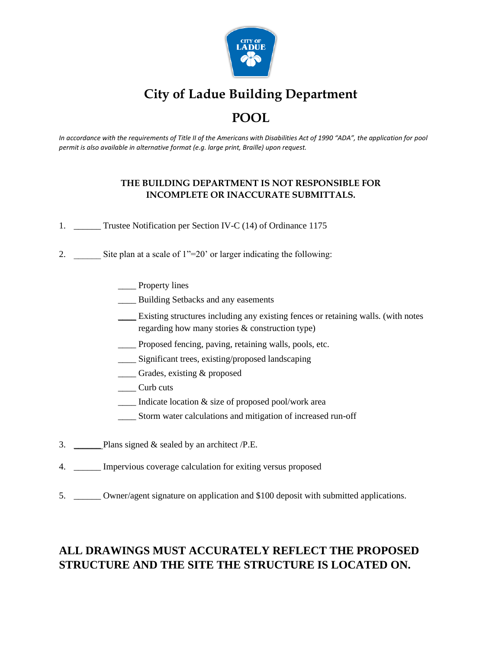

# **City of Ladue Building Department POOL**

*In accordance with the requirements of Title II of the Americans with Disabilities Act of 1990 "ADA", the application for pool permit is also available in alternative format (e.g. large print, Braille) upon request.*

### **THE BUILDING DEPARTMENT IS NOT RESPONSIBLE FOR INCOMPLETE OR INACCURATE SUBMITTALS.**

- 1. \_\_\_\_\_\_ Trustee Notification per Section IV-C (14) of Ordinance 1175
- 2. Site plan at a scale of  $1" = 20'$  or larger indicating the following:
	- \_\_\_\_ Property lines
	- \_\_\_\_ Building Setbacks and any easements
	- \_\_\_\_ Existing structures including any existing fences or retaining walls. (with notes regarding how many stories & construction type)
	- \_\_\_\_ Proposed fencing, paving, retaining walls, pools, etc.
	- \_\_\_\_ Significant trees, existing/proposed landscaping
	- \_\_\_\_ Grades, existing & proposed
	- \_\_\_\_ Curb cuts
	- \_\_\_\_ Indicate location & size of proposed pool/work area
	- \_\_\_\_ Storm water calculations and mitigation of increased run-off
- 3.  $\Box$  Plans signed & sealed by an architect /P.E.
- 4. \_\_\_\_\_\_ Impervious coverage calculation for exiting versus proposed
- 5. \_\_\_\_\_\_ Owner/agent signature on application and \$100 deposit with submitted applications.

# **ALL DRAWINGS MUST ACCURATELY REFLECT THE PROPOSED STRUCTURE AND THE SITE THE STRUCTURE IS LOCATED ON.**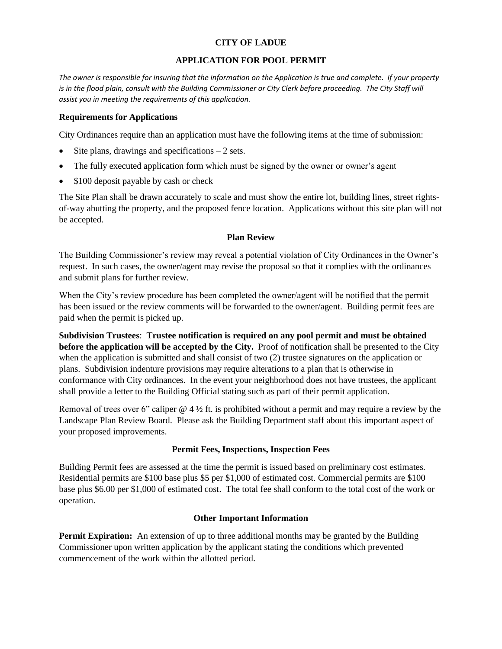#### **CITY OF LADUE**

#### **APPLICATION FOR POOL PERMIT**

*The owner is responsible for insuring that the information on the Application is true and complete. If your property is in the flood plain, consult with the Building Commissioner or City Clerk before proceeding. The City Staff will assist you in meeting the requirements of this application.*

#### **Requirements for Applications**

City Ordinances require than an application must have the following items at the time of submission:

- Site plans, drawings and specifications  $-2$  sets.
- The fully executed application form which must be signed by the owner or owner's agent
- \$100 deposit payable by cash or check

The Site Plan shall be drawn accurately to scale and must show the entire lot, building lines, street rightsof-way abutting the property, and the proposed fence location. Applications without this site plan will not be accepted.

#### **Plan Review**

The Building Commissioner's review may reveal a potential violation of City Ordinances in the Owner's request. In such cases, the owner/agent may revise the proposal so that it complies with the ordinances and submit plans for further review.

When the City's review procedure has been completed the owner/agent will be notified that the permit has been issued or the review comments will be forwarded to the owner/agent. Building permit fees are paid when the permit is picked up.

**Subdivision Trustees**: **Trustee notification is required on any pool permit and must be obtained before the application will be accepted by the City.** Proof of notification shall be presented to the City when the application is submitted and shall consist of two (2) trustee signatures on the application or plans. Subdivision indenture provisions may require alterations to a plan that is otherwise in conformance with City ordinances. In the event your neighborhood does not have trustees, the applicant shall provide a letter to the Building Official stating such as part of their permit application.

Removal of trees over 6" caliper  $@$  4  $\frac{1}{2}$  ft. is prohibited without a permit and may require a review by the Landscape Plan Review Board. Please ask the Building Department staff about this important aspect of your proposed improvements.

#### **Permit Fees, Inspections, Inspection Fees**

Building Permit fees are assessed at the time the permit is issued based on preliminary cost estimates. Residential permits are \$100 base plus \$5 per \$1,000 of estimated cost. Commercial permits are \$100 base plus \$6.00 per \$1,000 of estimated cost. The total fee shall conform to the total cost of the work or operation.

#### **Other Important Information**

**Permit Expiration:** An extension of up to three additional months may be granted by the Building Commissioner upon written application by the applicant stating the conditions which prevented commencement of the work within the allotted period.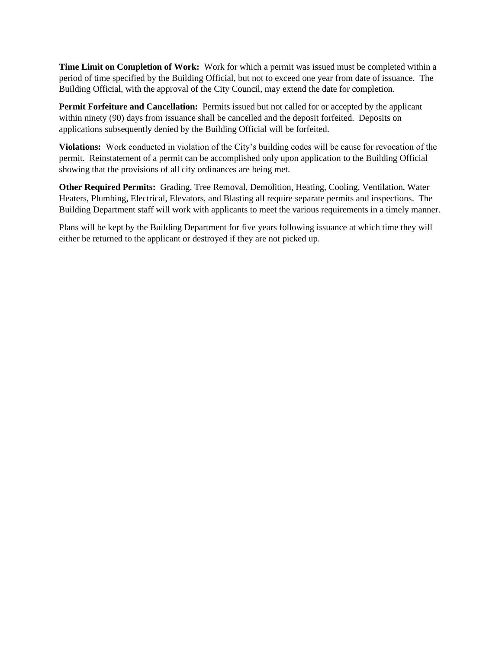**Time Limit on Completion of Work:** Work for which a permit was issued must be completed within a period of time specified by the Building Official, but not to exceed one year from date of issuance. The Building Official, with the approval of the City Council, may extend the date for completion.

Permit Forfeiture and Cancellation: Permits issued but not called for or accepted by the applicant within ninety (90) days from issuance shall be cancelled and the deposit forfeited. Deposits on applications subsequently denied by the Building Official will be forfeited.

**Violations:** Work conducted in violation of the City's building codes will be cause for revocation of the permit. Reinstatement of a permit can be accomplished only upon application to the Building Official showing that the provisions of all city ordinances are being met.

**Other Required Permits:** Grading, Tree Removal, Demolition, Heating, Cooling, Ventilation, Water Heaters, Plumbing, Electrical, Elevators, and Blasting all require separate permits and inspections. The Building Department staff will work with applicants to meet the various requirements in a timely manner.

Plans will be kept by the Building Department for five years following issuance at which time they will either be returned to the applicant or destroyed if they are not picked up.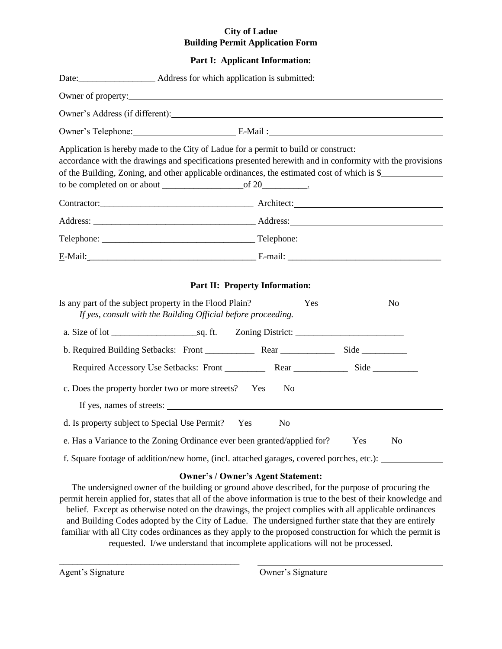#### **City of Ladue Building Permit Application Form**

#### **Part I: Applicant Information:**

| Owner of property:                                                                                                                                                                                                                                                                             |                                              |                       |
|------------------------------------------------------------------------------------------------------------------------------------------------------------------------------------------------------------------------------------------------------------------------------------------------|----------------------------------------------|-----------------------|
| Owner's Address (if different): Note that the same state of the state of the state of the state of the state of the state of the state of the state of the state of the state of the state of the state of the state of the st                                                                 |                                              |                       |
| Owner's Telephone: E-Mail:                                                                                                                                                                                                                                                                     |                                              |                       |
| Application is hereby made to the City of Ladue for a permit to build or construct:<br>accordance with the drawings and specifications presented herewith and in conformity with the provisions<br>of the Building, Zoning, and other applicable ordinances, the estimated cost of which is \$ |                                              |                       |
|                                                                                                                                                                                                                                                                                                |                                              |                       |
|                                                                                                                                                                                                                                                                                                |                                              |                       |
|                                                                                                                                                                                                                                                                                                |                                              |                       |
|                                                                                                                                                                                                                                                                                                |                                              |                       |
| Is any part of the subject property in the Flood Plain?<br>If yes, consult with the Building Official before proceeding.                                                                                                                                                                       | <b>Part II: Property Information:</b><br>Yes | No                    |
|                                                                                                                                                                                                                                                                                                |                                              |                       |
|                                                                                                                                                                                                                                                                                                |                                              |                       |
|                                                                                                                                                                                                                                                                                                |                                              |                       |
| c. Does the property border two or more streets? Yes<br>If yes, names of streets:                                                                                                                                                                                                              | N <sub>0</sub>                               |                       |
| d. Is property subject to Special Use Permit? Yes                                                                                                                                                                                                                                              | N <sub>o</sub>                               |                       |
| e. Has a Variance to the Zoning Ordinance ever been granted/applied for?                                                                                                                                                                                                                       |                                              | Yes<br>N <sub>o</sub> |
| f. Square footage of addition/new home, (incl. attached garages, covered porches, etc.):                                                                                                                                                                                                       |                                              |                       |
| The undersigned owner of the building or ground above described, for the purpose of procuring the                                                                                                                                                                                              | <b>Owner's / Owner's Agent Statement:</b>    |                       |

permit herein applied for, states that all of the above information is true to the best of their knowledge and belief. Except as otherwise noted on the drawings, the project complies with all applicable ordinances and Building Codes adopted by the City of Ladue. The undersigned further state that they are entirely familiar with all City codes ordinances as they apply to the proposed construction for which the permit is requested. I/we understand that incomplete applications will not be processed.

\_\_\_\_\_\_\_\_\_\_\_\_\_\_\_\_\_\_\_\_\_\_\_\_\_\_\_\_\_\_\_\_\_\_\_\_\_\_\_\_